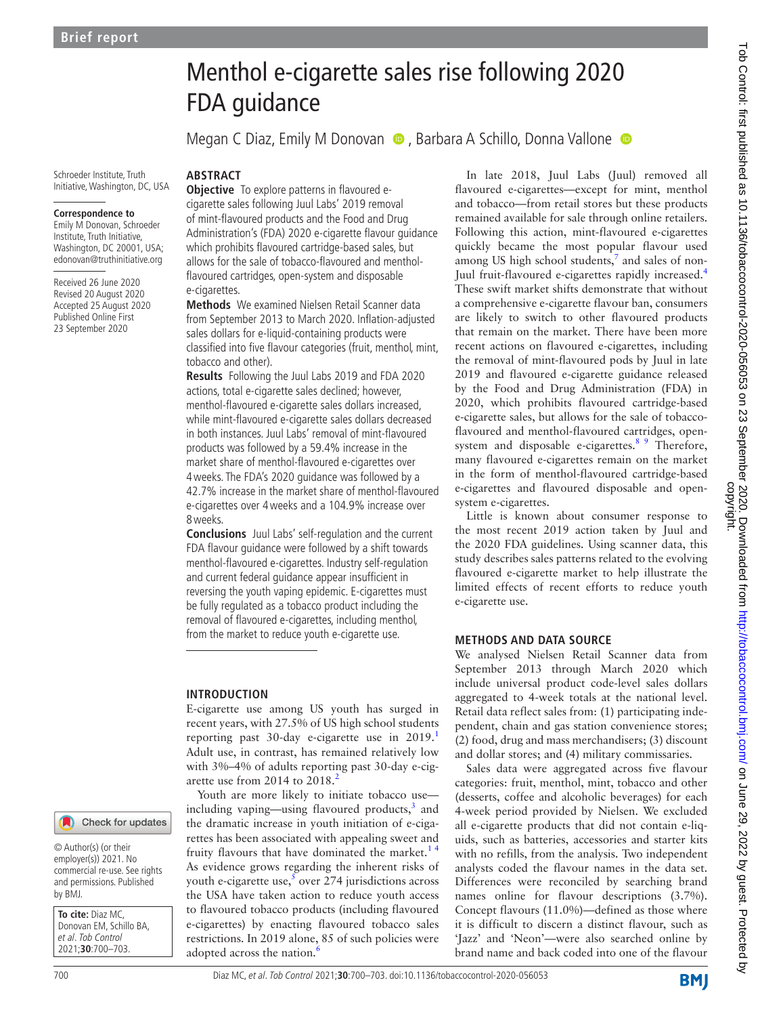Schroeder Institute, Truth Initiative, Washington, DC, USA **ABSTRACT**

#### **Correspondence to**

Emily M Donovan, Schroeder Institute, Truth Initiative, Washington, DC 20001, USA; edonovan@truthinitiative.org

Received 26 June 2020 Revised 20 August 2020 Accepted 25 August 2020 Published Online First 23 September 2020

# Menthol e-cigarette sales rise following 2020 FDA guidance

Megan C Diaz, Emily M Donovan  $\bullet$ , Barbara A Schillo, Donna Vallone  $\bullet$ 

**Objective** To explore patterns in flavoured ecigarette sales following Juul Labs' 2019 removal of mint-flavoured products and the Food and Drug Administration's (FDA) 2020 e-cigarette flavour guidance which prohibits flavoured cartridge-based sales, but allows for the sale of tobacco-flavoured and mentholflavoured cartridges, open-system and disposable e-cigarettes.

**Methods** We examined Nielsen Retail Scanner data from September 2013 to March 2020. Inflation-adjusted sales dollars for e-liquid-containing products were classified into five flavour categories (fruit, menthol, mint, tobacco and other).

**Results** Following the Juul Labs 2019 and FDA 2020 actions, total e-cigarette sales declined; however, menthol-flavoured e-cigarette sales dollars increased, while mint-flavoured e-cigarette sales dollars decreased in both instances. Juul Labs' removal of mint-flavoured products was followed by a 59.4% increase in the market share of menthol-flavoured e-cigarettes over 4weeks. The FDA's 2020 guidance was followed by a 42.7% increase in the market share of menthol-flavoured e-cigarettes over 4weeks and a 104.9% increase over 8weeks.

**Conclusions** Juul Labs' self-regulation and the current FDA flavour guidance were followed by a shift towards menthol-flavoured e-cigarettes. Industry self-regulation and current federal guidance appear insufficient in reversing the youth vaping epidemic. E-cigarettes must be fully regulated as a tobacco product including the removal of flavoured e-cigarettes, including menthol, from the market to reduce youth e-cigarette use.

### **INTRODUCTION**

E-cigarette use among US youth has surged in recent years, with 27.5% of US high school students reporting past 30-day e-cigarette use in  $2019<sup>1</sup>$  $2019<sup>1</sup>$  $2019<sup>1</sup>$ Adult use, in contrast, has remained relatively low with 3%–4% of adults reporting past 30-day e-cig-arette use from [2](#page-2-1)014 to  $2018<sup>2</sup>$ 

Youth are more likely to initiate tobacco use including vaping—using flavoured products, $3$  and the dramatic increase in youth initiation of e-cigarettes has been associated with appealing sweet and fruity flavours that have dominated the market.<sup>14</sup> As evidence grows regarding the inherent risks of youth e-cigarette use, $5$  over 274 jurisdictions across the USA have taken action to reduce youth access to flavoured tobacco products (including flavoured e-cigarettes) by enacting flavoured tobacco sales restrictions. In 2019 alone, 85 of such policies were adopted across the nation.<sup>[6](#page-2-4)</sup>

In late 2018, Juul Labs (Juul) removed all flavoured e-cigarettes—except for mint, menthol and tobacco—from retail stores but these products remained available for sale through online retailers. Following this action, mint-flavoured e-cigarettes quickly became the most popular flavour used among US high school students, $^7$  and sales of non-Juul fruit-flavoured e-cigarettes rapidly increased.[4](#page-2-6) These swift market shifts demonstrate that without a comprehensive e-cigarette flavour ban, consumers are likely to switch to other flavoured products that remain on the market. There have been more recent actions on flavoured e-cigarettes, including the removal of mint-flavoured pods by Juul in late 2019 and flavoured e-cigarette guidance released by the Food and Drug Administration (FDA) in 2020, which prohibits flavoured cartridge-based e-cigarette sales, but allows for the sale of tobaccoflavoured and menthol-flavoured cartridges, opensystem and disposable e-cigarettes. $8<sup>9</sup>$  Therefore, many flavoured e-cigarettes remain on the market in the form of menthol-flavoured cartridge-based e-cigarettes and flavoured disposable and opensystem e-cigarettes.

Little is known about consumer response to the most recent 2019 action taken by Juul and the 2020 FDA guidelines. Using scanner data, this study describes sales patterns related to the evolving flavoured e-cigarette market to help illustrate the limited effects of recent efforts to reduce youth e-cigarette use.

## **METHODS AND DATA SOURCE**

We analysed Nielsen Retail Scanner data from September 2013 through March 2020 which include universal product code-level sales dollars aggregated to 4-week totals at the national level. Retail data reflect sales from: (1) participating independent, chain and gas station convenience stores; (2) food, drug and mass merchandisers; (3) discount and dollar stores; and (4) military commissaries.

Sales data were aggregated across five flavour categories: fruit, menthol, mint, tobacco and other (desserts, coffee and alcoholic beverages) for each 4-week period provided by Nielsen. We excluded all e-cigarette products that did not contain e-liquids, such as batteries, accessories and starter kits with no refills, from the analysis. Two independent analysts coded the flavour names in the data set. Differences were reconciled by searching brand names online for flavour descriptions (3.7%). Concept flavours (11.0%)—defined as those where it is difficult to discern a distinct flavour, such as 'Jazz' and 'Neon'—were also searched online by brand name and back coded into one of the flavour

© Author(s) (or their employer(s)) 2021. No commercial re-use. See rights and permissions. Published by BMJ.

**To cite:** Diaz MC, Donovan EM, Schillo BA, et al. Tob Control 2021;**30**:700–703.

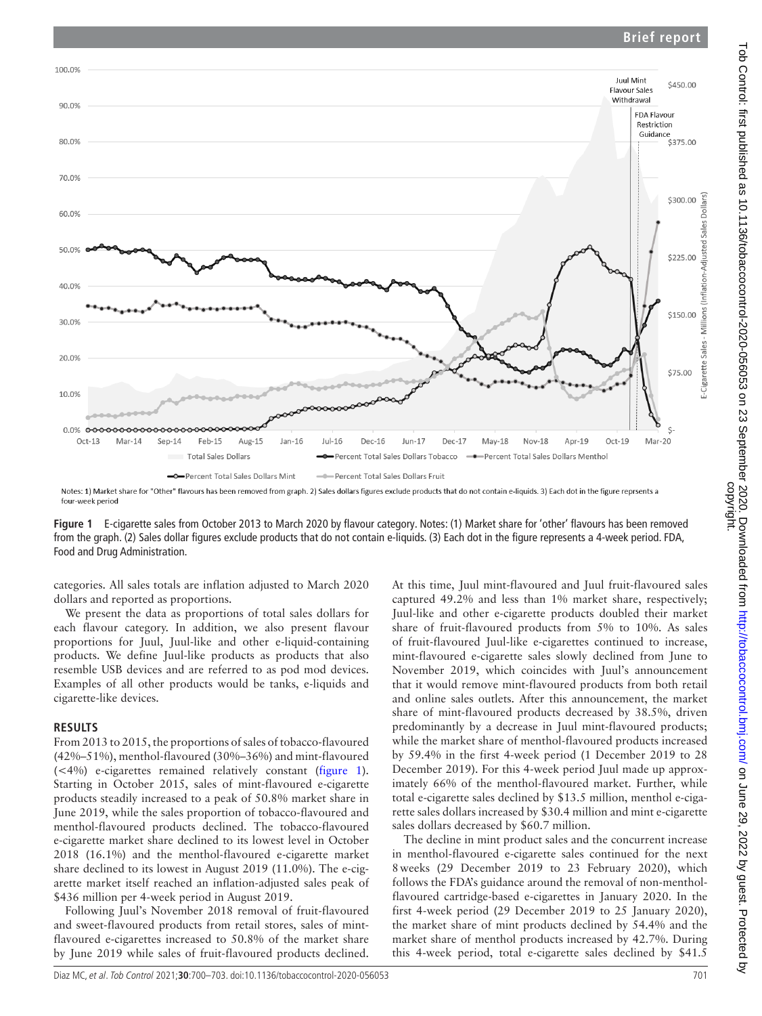## **Brief report**



<span id="page-1-0"></span>Notes: 1) Market share for "Other" flavours has been removed from graph. 2) Sales dollars figures exclude products that do not contain e-liquids. 3) Each dot in the figure reprsents a four-week period

**Figure 1** E-cigarette sales from October 2013 to March 2020 by flavour category. Notes: (1) Market share for 'other' flavours has been removed from the graph. (2) Sales dollar figures exclude products that do not contain e-liquids. (3) Each dot in the figure represents a 4-week period. FDA, Food and Drug Administration.

categories. All sales totals are inflation adjusted to March 2020 dollars and reported as proportions.

We present the data as proportions of total sales dollars for each flavour category. In addition, we also present flavour proportions for Juul, Juul-like and other e-liquid-containing products. We define Juul-like products as products that also resemble USB devices and are referred to as pod mod devices. Examples of all other products would be tanks, e-liquids and cigarette-like devices.

### **RESULTS**

From 2013 to 2015, the proportions of sales of tobacco-flavoured (42%–51%), menthol-flavoured (30%–36%) and mint-flavoured (<4%) e-cigarettes remained relatively constant [\(figure](#page-1-0) 1). Starting in October 2015, sales of mint-flavoured e-cigarette products steadily increased to a peak of 50.8% market share in June 2019, while the sales proportion of tobacco-flavoured and menthol-flavoured products declined. The tobacco-flavoured e-cigarette market share declined to its lowest level in October 2018 (16.1%) and the menthol-flavoured e-cigarette market share declined to its lowest in August 2019 (11.0%). The e-cigarette market itself reached an inflation-adjusted sales peak of \$436 million per 4-week period in August 2019.

Following Juul's November 2018 removal of fruit-flavoured and sweet-flavoured products from retail stores, sales of mintflavoured e-cigarettes increased to 50.8% of the market share by June 2019 while sales of fruit-flavoured products declined.

At this time, Juul mint-flavoured and Juul fruit-flavoured sales captured 49.2% and less than 1% market share, respectively; Juul-like and other e-cigarette products doubled their market share of fruit-flavoured products from 5% to 10%. As sales of fruit-flavoured Juul-like e-cigarettes continued to increase, mint-flavoured e-cigarette sales slowly declined from June to November 2019, which coincides with Juul's announcement that it would remove mint-flavoured products from both retail and online sales outlets. After this announcement, the market share of mint-flavoured products decreased by 38.5%, driven predominantly by a decrease in Juul mint-flavoured products; while the market share of menthol-flavoured products increased by 59.4% in the first 4-week period (1 December 2019 to 28 December 2019). For this 4-week period Juul made up approximately 66% of the menthol-flavoured market. Further, while total e-cigarette sales declined by \$13.5 million, menthol e-cigarette sales dollars increased by \$30.4 million and mint e-cigarette sales dollars decreased by \$60.7 million.

The decline in mint product sales and the concurrent increase in menthol-flavoured e-cigarette sales continued for the next 8weeks (29 December 2019 to 23 February 2020), which follows the FDA's guidance around the removal of non-mentholflavoured cartridge-based e-cigarettes in January 2020. In the first 4-week period (29 December 2019 to 25 January 2020), the market share of mint products declined by 54.4% and the market share of menthol products increased by 42.7%. During this 4-week period, total e-cigarette sales declined by \$41.5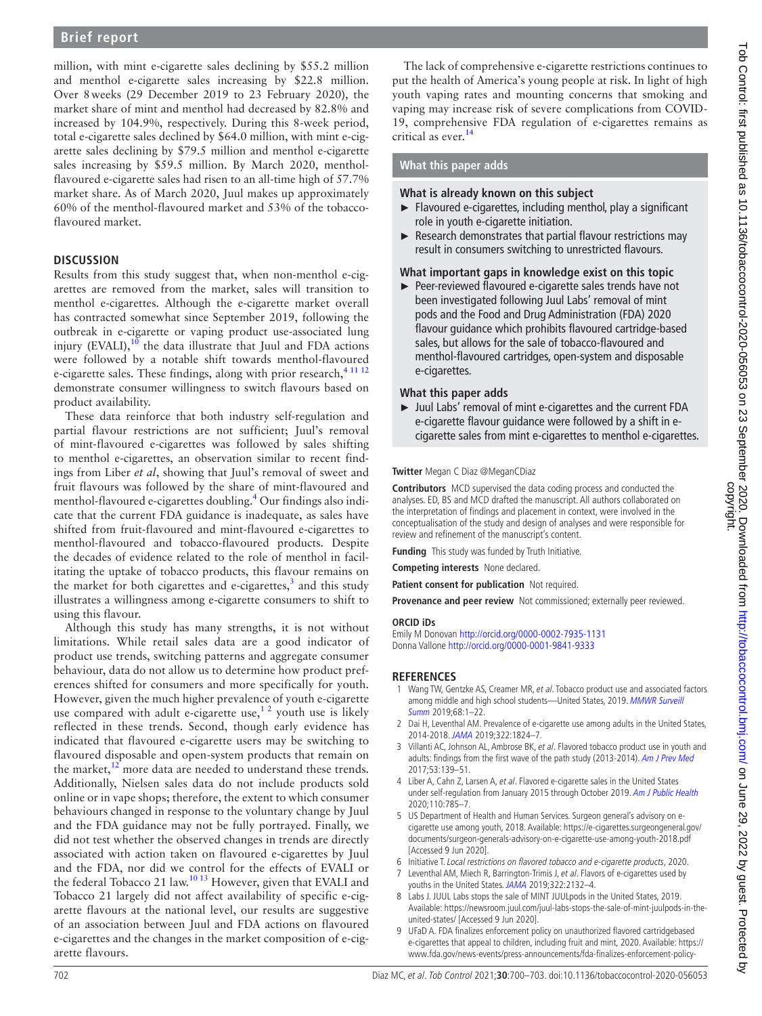## **Brief report**

million, with mint e-cigarette sales declining by \$55.2 million and menthol e-cigarette sales increasing by \$22.8 million. Over 8weeks (29 December 2019 to 23 February 2020), the market share of mint and menthol had decreased by 82.8% and increased by 104.9%, respectively. During this 8-week period, total e-cigarette sales declined by \$64.0 million, with mint e-cigarette sales declining by \$79.5 million and menthol e-cigarette sales increasing by \$59.5 million. By March 2020, mentholflavoured e-cigarette sales had risen to an all-time high of 57.7% market share. As of March 2020, Juul makes up approximately 60% of the menthol-flavoured market and 53% of the tobaccoflavoured market.

### **DISCUSSION**

Results from this study suggest that, when non-menthol e-cigarettes are removed from the market, sales will transition to menthol e-cigarettes. Although the e-cigarette market overall has contracted somewhat since September 2019, following the outbreak in e-cigarette or vaping product use-associated lung injury (EVALI), $10$  the data illustrate that Juul and FDA actions were followed by a notable shift towards menthol-flavoured e-cigarette sales. These findings, along with prior research,<sup>[4 11 12](#page-2-6)</sup> demonstrate consumer willingness to switch flavours based on product availability.

These data reinforce that both industry self-regulation and partial flavour restrictions are not sufficient; Juul's removal of mint-flavoured e-cigarettes was followed by sales shifting to menthol e-cigarettes, an observation similar to recent findings from Liber *et al*, showing that Juul's removal of sweet and fruit flavours was followed by the share of mint-flavoured and menthol-flavoured e-cigarettes doubling.<sup>[4](#page-2-6)</sup> Our findings also indicate that the current FDA guidance is inadequate, as sales have shifted from fruit-flavoured and mint-flavoured e-cigarettes to menthol-flavoured and tobacco-flavoured products. Despite the decades of evidence related to the role of menthol in facilitating the uptake of tobacco products, this flavour remains on the market for both cigarettes and e-cigarettes, $3$  and this study illustrates a willingness among e-cigarette consumers to shift to using this flavour.

Although this study has many strengths, it is not without limitations. While retail sales data are a good indicator of product use trends, switching patterns and aggregate consumer behaviour, data do not allow us to determine how product preferences shifted for consumers and more specifically for youth. However, given the much higher prevalence of youth e-cigarette use compared with adult e-cigarette use,<sup>12</sup> youth use is likely reflected in these trends. Second, though early evidence has indicated that flavoured e-cigarette users may be switching to flavoured disposable and open-system products that remain on the market, $12$  more data are needed to understand these trends. Additionally, Nielsen sales data do not include products sold online or in vape shops; therefore, the extent to which consumer behaviours changed in response to the voluntary change by Juul and the FDA guidance may not be fully portrayed. Finally, we did not test whether the observed changes in trends are directly associated with action taken on flavoured e-cigarettes by Juul and the FDA, nor did we control for the effects of EVALI or the federal Tobacco 21 law.<sup>10 13</sup> However, given that EVALI and Tobacco 21 largely did not affect availability of specific e-cigarette flavours at the national level, our results are suggestive of an association between Juul and FDA actions on flavoured e-cigarettes and the changes in the market composition of e-cigarette flavours.

The lack of comprehensive e-cigarette restrictions continues to put the health of America's young people at risk. In light of high youth vaping rates and mounting concerns that smoking and vaping may increase risk of severe complications from COVID-19, comprehensive FDA regulation of e-cigarettes remains as critical as ever. [14](#page-3-2)

#### **What this paper adds**

#### **What is already known on this subject**

- ► Flavoured e-cigarettes, including menthol, play a significant role in youth e-cigarette initiation.
- ► Research demonstrates that partial flavour restrictions may result in consumers switching to unrestricted flavours.

#### **What important gaps in knowledge exist on this topic**

► Peer-reviewed flavoured e-cigarette sales trends have not been investigated following Juul Labs' removal of mint pods and the Food and Drug Administration (FDA) 2020 flavour guidance which prohibits flavoured cartridge-based sales, but allows for the sale of tobacco-flavoured and menthol-flavoured cartridges, open-system and disposable e-cigarettes.

#### **What this paper adds**

► Juul Labs' removal of mint e-cigarettes and the current FDA e-cigarette flavour guidance were followed by a shift in ecigarette sales from mint e-cigarettes to menthol e-cigarettes.

#### **Twitter** Megan C Diaz [@MeganCDiaz](https://twitter.com/MeganCDiaz)

**Contributors** MCD supervised the data coding process and conducted the analyses. ED, BS and MCD drafted the manuscript. All authors collaborated on the interpretation of findings and placement in context, were involved in the conceptualisation of the study and design of analyses and were responsible for review and refinement of the manuscript's content.

**Funding** This study was funded by Truth Initiative.

**Competing interests** None declared.

**Patient consent for publication** Not required.

**Provenance and peer review** Not commissioned; externally peer reviewed.

#### **ORCID iDs**

Emily M Donovan<http://orcid.org/0000-0002-7935-1131> Donna Vallone <http://orcid.org/0000-0001-9841-9333>

#### **REFERENCES**

- <span id="page-2-0"></span>1 Wang TW, Gentzke AS, Creamer MR, et al. Tobacco product use and associated factors among middle and high school students-United States, 2019. MMWR Surveill [Summ](http://dx.doi.org/10.15585/mmwr.ss6812a1) 2019;68:1–22.
- <span id="page-2-1"></span>2 Dai H, Leventhal AM. Prevalence of e-cigarette use among adults in the United States, 2014-2018. [JAMA](http://dx.doi.org/10.1001/jama.2019.15331) 2019;322:1824–7.
- <span id="page-2-2"></span>3 Villanti AC, Johnson AL, Ambrose BK, et al. Flavored tobacco product use in youth and adults: findings from the first wave of the path study (2013-2014). [Am J Prev Med](http://dx.doi.org/10.1016/j.amepre.2017.01.026) 2017;53:139–51.
- <span id="page-2-6"></span>4 Liber A, Cahn Z, Larsen A, et al. Flavored e-cigarette sales in the United States under self-regulation from January 2015 through October 2019. [Am J Public Health](http://dx.doi.org/10.2105/AJPH.2020.305667) 2020;110:785–7.
- <span id="page-2-3"></span>5 US Department of Health and Human Services. Surgeon general's advisory on ecigarette use among youth, 2018. Available: [https://e-cigarettes.surgeongeneral.gov/](https://e-cigarettes.surgeongeneral.gov/documents/surgeon-generals-advisory-on-e-cigarette-use-among-youth-2018.pdf) [documents/surgeon-generals-advisory-on-e-cigarette-use-among-youth-2018.pdf](https://e-cigarettes.surgeongeneral.gov/documents/surgeon-generals-advisory-on-e-cigarette-use-among-youth-2018.pdf) [Accessed 9 Jun 2020].
- <span id="page-2-4"></span>6 Initiative T. Local restrictions on flavored tobacco and e-cigarette products, 2020.
- <span id="page-2-5"></span>Leventhal AM, Miech R, Barrington-Trimis J, et al. Flavors of e-cigarettes used by youths in the United States. [JAMA](http://dx.doi.org/10.1001/jama.2019.17968) 2019;322:2132–4.
- <span id="page-2-7"></span>8 Labs J. JUUL Labs stops the sale of MINT JUULpods in the United States, 2019. Available: [https://newsroom.juul.com/juul-labs-stops-the-sale-of-mint-juulpods-in-the](https://newsroom.juul.com/juul-labs-stops-the-sale-of-mint-juulpods-in-the-united-states/)[united-states/](https://newsroom.juul.com/juul-labs-stops-the-sale-of-mint-juulpods-in-the-united-states/) [Accessed 9 Jun 2020].
- 9 UFaD A. FDA finalizes enforcement policy on unauthorized flavored cartridgebased e-cigarettes that appeal to children, including fruit and mint, 2020. Available: [https://](https://www.fda.gov/news-events/press-announcements/fda-finalizes-enforcement-policy-unauthorized-flavored-cartridge-based-e-cigarettes-appeal-children) [www.fda.gov/news-events/press-announcements/fda-finalizes-enforcement-policy-](https://www.fda.gov/news-events/press-announcements/fda-finalizes-enforcement-policy-unauthorized-flavored-cartridge-based-e-cigarettes-appeal-children)